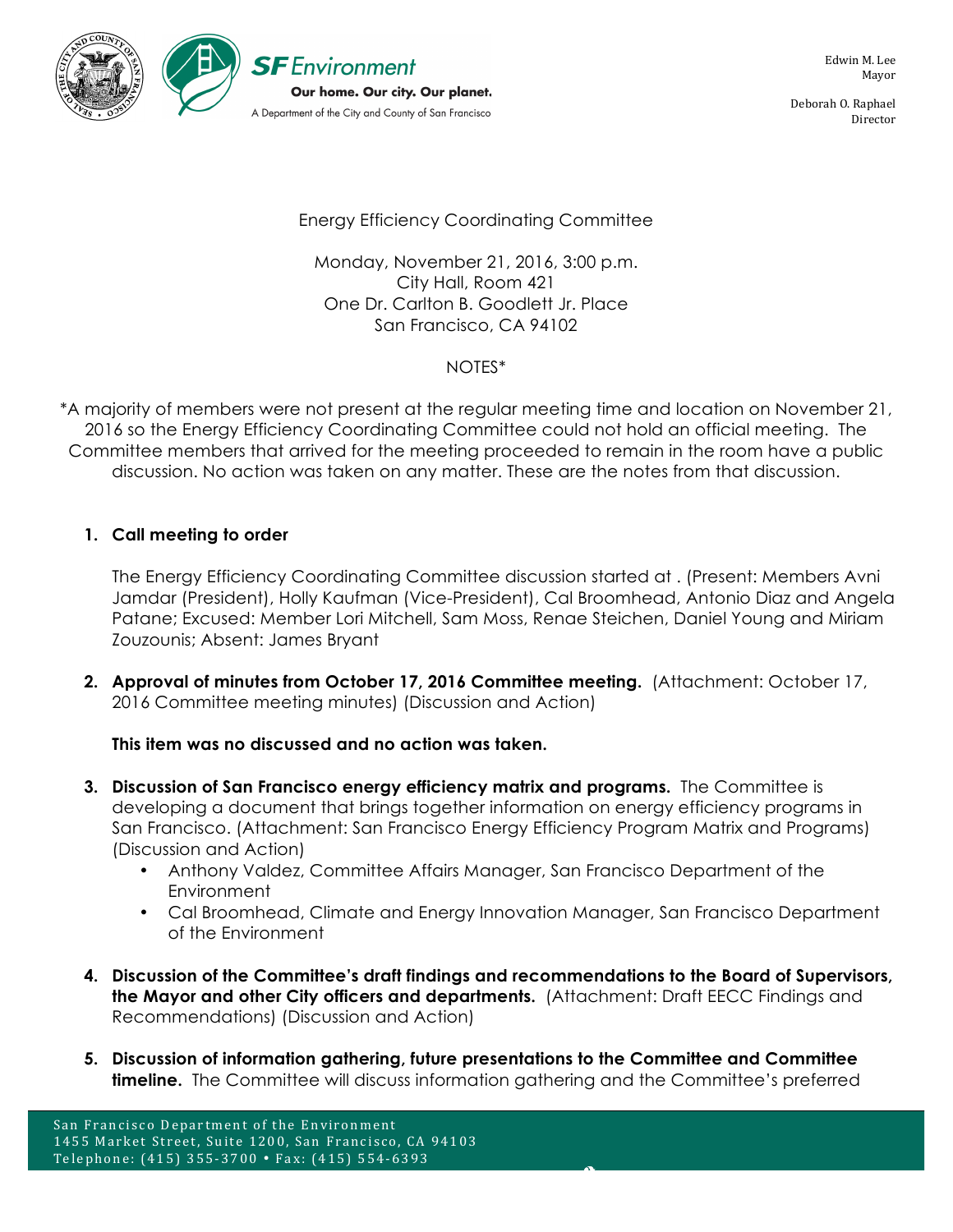

Deborah O. Raphael Director

## Energy Efficiency Coordinating Committee

Monday, November 21, 2016, 3:00 p.m. City Hall, Room 421 One Dr. Carlton B. Goodlett Jr. Place San Francisco, CA 94102

### NOTES\*

\*A majority of members were not present at the regular meeting time and location on November 21, 2016 so the Energy Efficiency Coordinating Committee could not hold an official meeting. The Committee members that arrived for the meeting proceeded to remain in the room have a public discussion. No action was taken on any matter. These are the notes from that discussion.

## **1. Call meeting to order**

The Energy Efficiency Coordinating Committee discussion started at . (Present: Members Avni Jamdar (President), Holly Kaufman (Vice-President), Cal Broomhead, Antonio Diaz and Angela Patane; Excused: Member Lori Mitchell, Sam Moss, Renae Steichen, Daniel Young and Miriam Zouzounis; Absent: James Bryant

**2. Approval of minutes from October 17, 2016 Committee meeting.** (Attachment: October 17, 2016 Committee meeting minutes) (Discussion and Action)

**This item was no discussed and no action was taken.**

- **3. Discussion of San Francisco energy efficiency matrix and programs.** The Committee is developing a document that brings together information on energy efficiency programs in San Francisco. (Attachment: San Francisco Energy Efficiency Program Matrix and Programs) (Discussion and Action)
	- Anthony Valdez, Committee Affairs Manager, San Francisco Department of the **Environment**
	- Cal Broomhead, Climate and Energy Innovation Manager, San Francisco Department of the Environment
- **4. Discussion of the Committee's draft findings and recommendations to the Board of Supervisors, the Mayor and other City officers and departments.** (Attachment: Draft EECC Findings and Recommendations) (Discussion and Action)
- **5. Discussion of information gathering, future presentations to the Committee and Committee timeline.** The Committee will discuss information gathering and the Committee's preferred